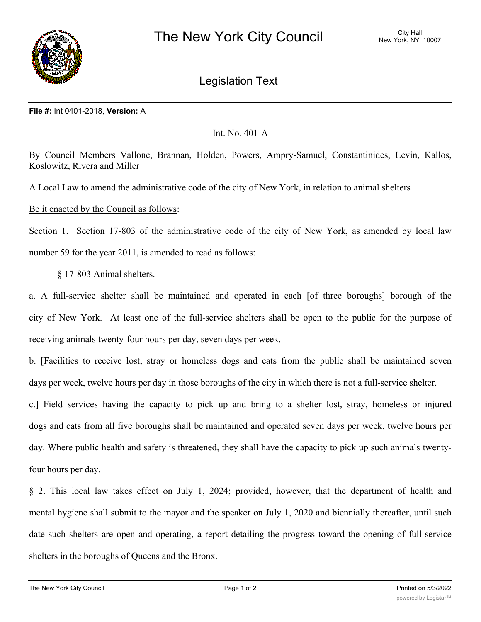

Legislation Text

## **File #:** Int 0401-2018, **Version:** A

Int. No. 401-A

By Council Members Vallone, Brannan, Holden, Powers, Ampry-Samuel, Constantinides, Levin, Kallos, Koslowitz, Rivera and Miller

A Local Law to amend the administrative code of the city of New York, in relation to animal shelters

Be it enacted by the Council as follows:

Section 1. Section 17-803 of the administrative code of the city of New York, as amended by local law number 59 for the year 2011, is amended to read as follows:

§ 17-803 Animal shelters.

a. A full-service shelter shall be maintained and operated in each [of three boroughs] borough of the city of New York. At least one of the full-service shelters shall be open to the public for the purpose of receiving animals twenty-four hours per day, seven days per week.

b. [Facilities to receive lost, stray or homeless dogs and cats from the public shall be maintained seven days per week, twelve hours per day in those boroughs of the city in which there is not a full-service shelter.

c.] Field services having the capacity to pick up and bring to a shelter lost, stray, homeless or injured dogs and cats from all five boroughs shall be maintained and operated seven days per week, twelve hours per day. Where public health and safety is threatened, they shall have the capacity to pick up such animals twentyfour hours per day.

§ 2. This local law takes effect on July 1, 2024; provided, however, that the department of health and mental hygiene shall submit to the mayor and the speaker on July 1, 2020 and biennially thereafter, until such date such shelters are open and operating, a report detailing the progress toward the opening of full-service shelters in the boroughs of Queens and the Bronx.